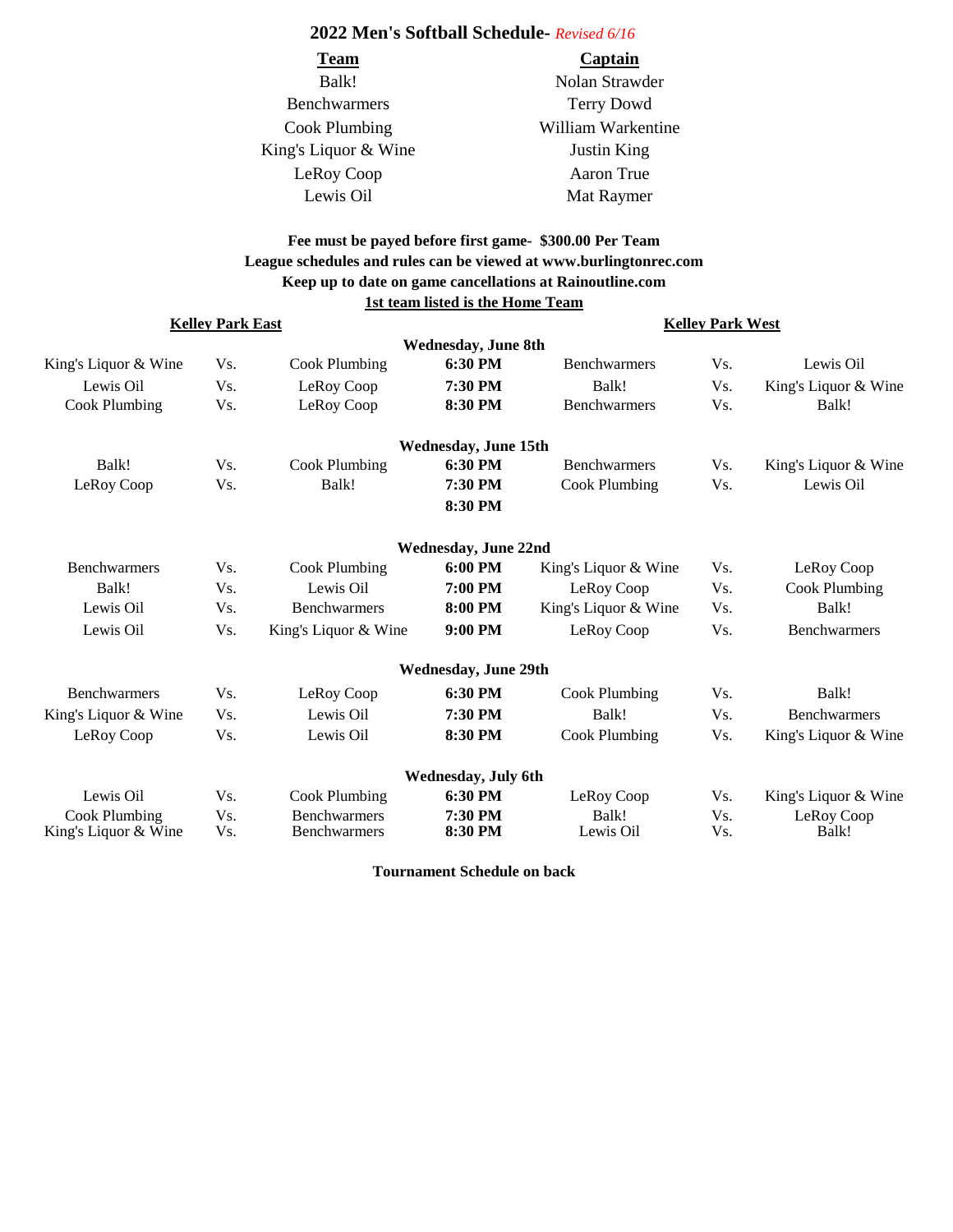## **2022 Men's Softball Schedule-** *Revised 6/16*

| <b>Team</b>          | Captain            |
|----------------------|--------------------|
| Balk!                | Nolan Strawder     |
| <b>Benchwarmers</b>  | <b>Terry Dowd</b>  |
| Cook Plumbing        | William Warkentine |
| King's Liquor & Wine | <b>Justin King</b> |
| LeRoy Coop           | Aaron True         |
| Lewis Oil            | Mat Raymer         |

## **Fee must be payed before first game- \$300.00 Per Team League schedules and rules can be viewed at www.burlingtonrec.com 1st team listed is the Home Team Keep up to date on game cancellations at Rainoutline.com**

| <b>Kelley Park East</b> |     |                      | <b>Kelley Park West</b>     |                      |         |                      |
|-------------------------|-----|----------------------|-----------------------------|----------------------|---------|----------------------|
|                         |     |                      | <b>Wednesday, June 8th</b>  |                      |         |                      |
| King's Liquor & Wine    | Vs. | Cook Plumbing        | 6:30 PM                     | <b>Benchwarmers</b>  | Vs.     | Lewis Oil            |
| Lewis Oil               | Vs. | LeRoy Coop           | 7:30 PM                     | Balk!                | Vs.     | King's Liquor & Wine |
| <b>Cook Plumbing</b>    | Vs. | LeRoy Coop           | 8:30 PM                     | <b>Benchwarmers</b>  | Vs.     | Balk!                |
|                         |     |                      | <b>Wednesday, June 15th</b> |                      |         |                      |
| Balk!                   | Vs. | <b>Cook Plumbing</b> | 6:30 PM                     | <b>Benchwarmers</b>  | Vs.     | King's Liquor & Wine |
| LeRoy Coop              | Vs. | Balk!                | 7:30 PM                     | <b>Cook Plumbing</b> | Vs.     | Lewis Oil            |
|                         |     |                      | 8:30 PM                     |                      |         |                      |
|                         |     |                      | <b>Wednesday, June 22nd</b> |                      |         |                      |
| <b>Benchwarmers</b>     | Vs. | Cook Plumbing        | 6:00 PM                     | King's Liquor & Wine | Vs.     | LeRoy Coop           |
| Balk!                   | Vs. | Lewis Oil            | 7:00 PM                     | LeRoy Coop           | Vs.     | Cook Plumbing        |
| Lewis Oil               | Vs. | <b>Benchwarmers</b>  | 8:00 PM                     | King's Liquor & Wine | $V_{S}$ | Balk!                |
| Lewis Oil               | Vs. | King's Liquor & Wine | 9:00 PM                     | LeRoy Coop           | Vs.     | <b>Benchwarmers</b>  |
|                         |     |                      | <b>Wednesday, June 29th</b> |                      |         |                      |
| <b>Benchwarmers</b>     | Vs. | LeRoy Coop           | 6:30 PM                     | Cook Plumbing        | Vs.     | Balk!                |
| King's Liquor & Wine    | Vs. | Lewis Oil            | 7:30 PM                     | Balk!                | Vs.     | <b>Benchwarmers</b>  |
| LeRoy Coop              | Vs. | Lewis Oil            | 8:30 PM                     | <b>Cook Plumbing</b> | Vs.     | King's Liquor & Wine |
|                         |     |                      | Wednesday, July 6th         |                      |         |                      |
| Lewis Oil               | Vs. | Cook Plumbing        | 6:30 PM                     | LeRoy Coop           | Vs.     | King's Liquor & Wine |
| Cook Plumbing           | Vs. | <b>Benchwarmers</b>  | 7:30 PM                     | Balk!                | Vs.     | LeRoy Coop           |
| King's Liquor & Wine    | Vs. | <b>Benchwarmers</b>  | 8:30 PM                     | Lewis Oil            | Vs.     | Balk!                |

**Tournament Schedule on back**